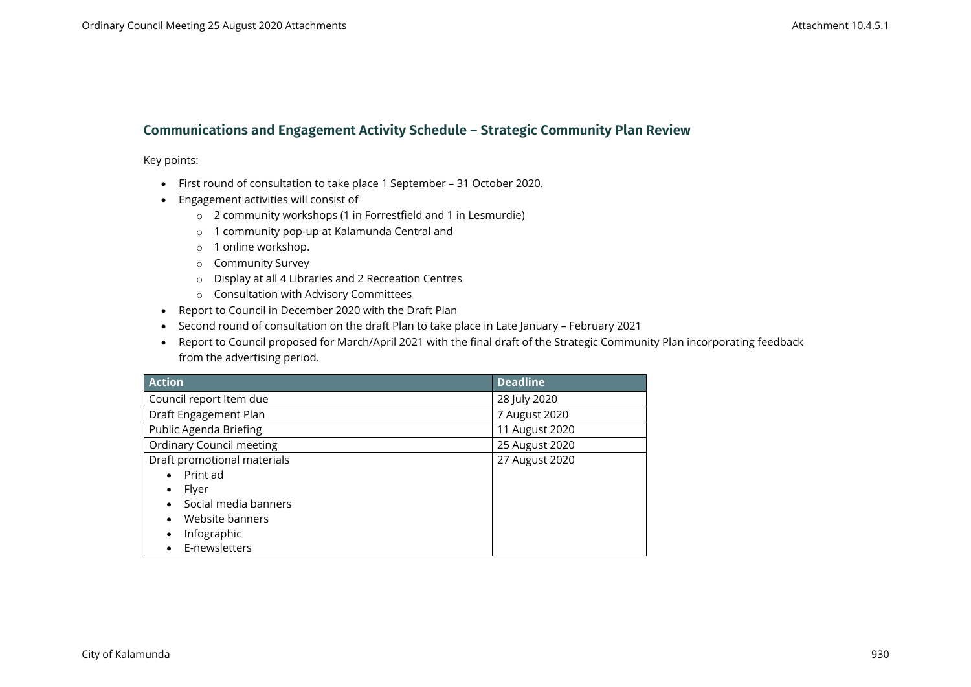## **Communications and Engagement Activity Schedule – Strategic Community Plan Review**

Key points:

- First round of consultation to take place 1 September 31 October 2020.
- Engagement activities will consist of
	- o 2 community workshops (1 in Forrestfield and 1 in Lesmurdie)
	- o 1 community pop-up at Kalamunda Central and
	- o 1 online workshop.
	- o Community Survey
	- o Display at all 4 Libraries and 2 Recreation Centres
	- o Consultation with Advisory Committees
- Report to Council in December 2020 with the Draft Plan
- Second round of consultation on the draft Plan to take place in Late January February 2021
- Report to Council proposed for March/April 2021 with the final draft of the Strategic Community Plan incorporating feedback from the advertising period.

| <b>Action</b>                   | <b>Deadline</b> |
|---------------------------------|-----------------|
| Council report Item due         | 28 July 2020    |
| Draft Engagement Plan           | 7 August 2020   |
| Public Agenda Briefing          | 11 August 2020  |
| <b>Ordinary Council meeting</b> | 25 August 2020  |
| Draft promotional materials     | 27 August 2020  |
| Print ad                        |                 |
| Flyer                           |                 |
| Social media banners            |                 |
| Website banners                 |                 |
| Infographic                     |                 |
| E-newsletters                   |                 |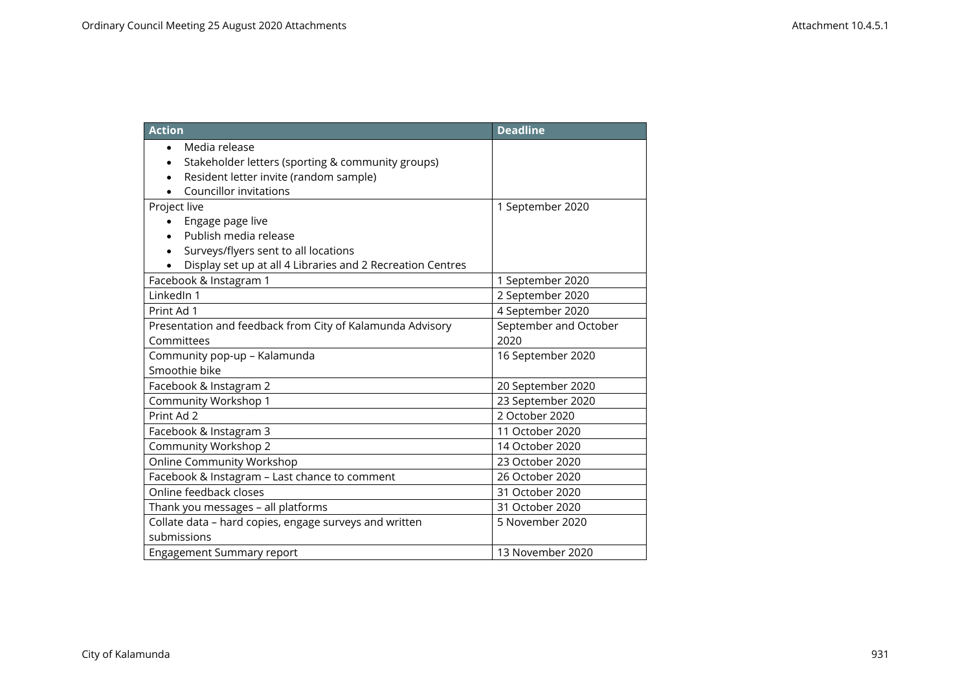| <b>Action</b>                                                                   | <b>Deadline</b>       |
|---------------------------------------------------------------------------------|-----------------------|
| Media release<br>$\bullet$<br>Stakeholder letters (sporting & community groups) |                       |
| Resident letter invite (random sample)                                          |                       |
| <b>Councillor invitations</b>                                                   |                       |
| Project live                                                                    | 1 September 2020      |
| Engage page live                                                                |                       |
| Publish media release                                                           |                       |
| Surveys/flyers sent to all locations                                            |                       |
| Display set up at all 4 Libraries and 2 Recreation Centres                      |                       |
| Facebook & Instagram 1                                                          | 1 September 2020      |
| LinkedIn 1                                                                      | 2 September 2020      |
| Print Ad 1                                                                      | 4 September 2020      |
| Presentation and feedback from City of Kalamunda Advisory                       | September and October |
| Committees                                                                      | 2020                  |
| Community pop-up - Kalamunda                                                    | 16 September 2020     |
| Smoothie bike                                                                   |                       |
| Facebook & Instagram 2                                                          | 20 September 2020     |
| Community Workshop 1                                                            | 23 September 2020     |
| Print Ad 2                                                                      | 2 October 2020        |
| Facebook & Instagram 3                                                          | 11 October 2020       |
| Community Workshop 2                                                            | 14 October 2020       |
| <b>Online Community Workshop</b>                                                | 23 October 2020       |
| Facebook & Instagram - Last chance to comment                                   | 26 October 2020       |
| Online feedback closes                                                          | 31 October 2020       |
| Thank you messages - all platforms                                              | 31 October 2020       |
| Collate data - hard copies, engage surveys and written                          | 5 November 2020       |
| submissions                                                                     |                       |
| <b>Engagement Summary report</b>                                                | 13 November 2020      |